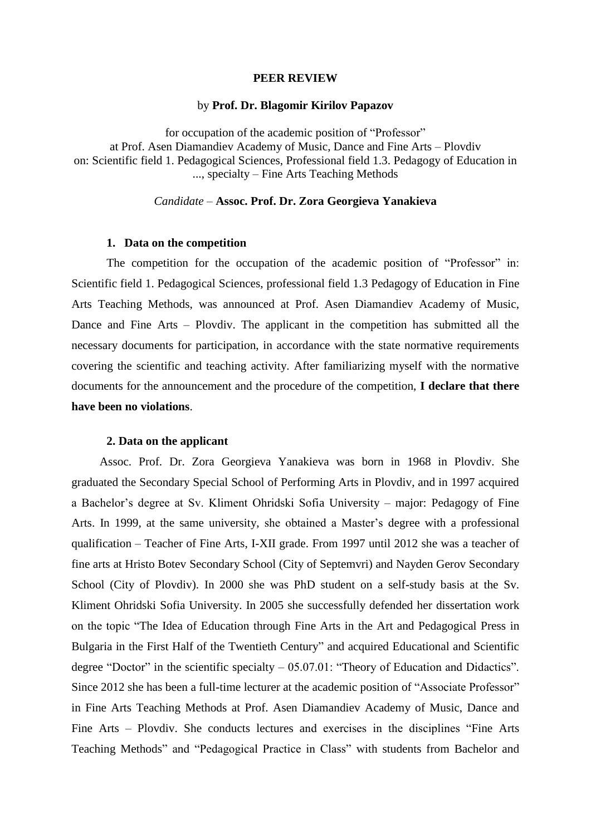#### **PEER REVIEW**

### by **Prof. Dr. Blagomir Kirilov Papazov**

for occupation of the academic position of "Professor" at Prof. Asen Diamandiev Academy of Music, Dance and Fine Arts – Plovdiv on: Scientific field 1. Pedagogical Sciences, Professional field 1.3. Pedagogy of Education in ..., specialty – Fine Arts Teaching Methods

# *Candidate –* **Assoc. Prof. Dr. Zora Georgieva Yanakieva**

### **1. Data on the competition**

The competition for the occupation of the academic position of "Professor" in: Scientific field 1. Pedagogical Sciences, professional field 1.3 Pedagogy of Education in Fine Arts Teaching Methods, was announced at Prof. Asen Diamandiev Academy of Music, Dance and Fine Arts – Plovdiv. The applicant in the competition has submitted all the necessary documents for participation, in accordance with the state normative requirements covering the scientific and teaching activity. After familiarizing myself with the normative documents for the announcement and the procedure of the competition, **I declare that there have been no violations**.

## **2. Data on the applicant**

Assoc. Prof. Dr. Zora Georgieva Yanakieva was born in 1968 in Plovdiv. She graduated the Secondary Special School of Performing Arts in Plovdiv, and in 1997 acquired a Bachelor's degree at Sv. Kliment Ohridski Sofia University – major: Pedagogy of Fine Arts. In 1999, at the same university, she obtained a Master's degree with a professional qualification – Teacher of Fine Arts, I-XII grade. From 1997 until 2012 she was a teacher of fine arts at Hristo Botev Secondary School (City of Septemvri) and Nayden Gerov Secondary School (City of Plovdiv). In 2000 she was PhD student on a self-study basis at the Sv. Kliment Ohridski Sofia University. In 2005 she successfully defended her dissertation work on the topic "The Idea of Education through Fine Arts in the Art and Pedagogical Press in Bulgaria in the First Half of the Twentieth Century" and acquired Educational and Scientific degree "Doctor" in the scientific specialty  $-05.07.01$ : "Theory of Education and Didactics". Since 2012 she has been a full-time lecturer at the academic position of "Associate Professor" in Fine Arts Teaching Methods at Prof. Asen Diamandiev Academy of Music, Dance and Fine Arts – Plovdiv. She conducts lectures and exercises in the disciplines "Fine Arts Teaching Methods" and "Pedagogical Practice in Class" with students from Bachelor and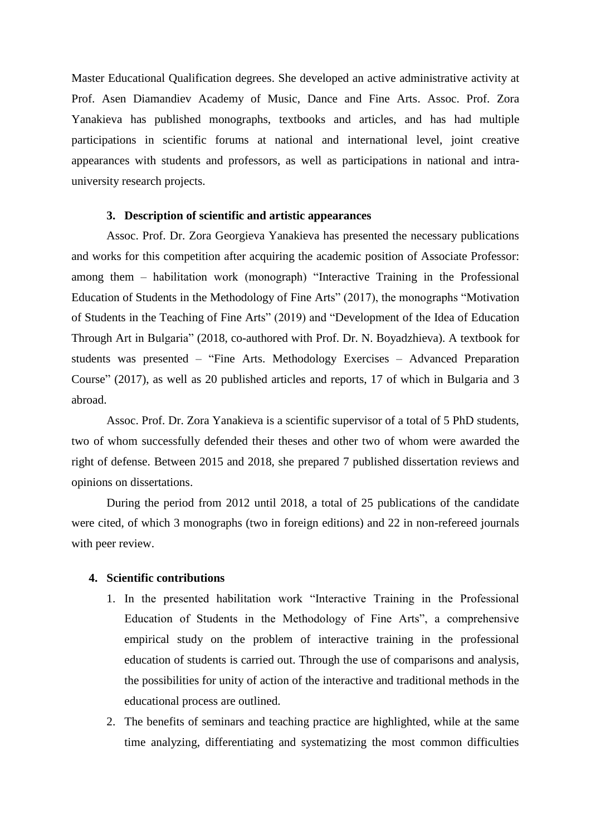Master Educational Qualification degrees. She developed an active administrative activity at Prof. Asen Diamandiev Academy of Music, Dance and Fine Arts. Assoc. Prof. Zora Yanakieva has published monographs, textbooks and articles, and has had multiple participations in scientific forums at national and international level, joint creative appearances with students and professors, as well as participations in national and intrauniversity research projects.

# **3. Description of scientific and artistic appearances**

Assoc. Prof. Dr. Zora Georgieva Yanakieva has presented the necessary publications and works for this competition after acquiring the academic position of Associate Professor: among them – habilitation work (monograph) "Interactive Training in the Professional Education of Students in the Methodology of Fine Arts" (2017), the monographs "Motivation of Students in the Teaching of Fine Arts" (2019) and "Development of the Idea of Education Through Art in Bulgaria" (2018, co-authored with Prof. Dr. N. Boyadzhieva). A textbook for students was presented – "Fine Arts. Methodology Exercises – Advanced Preparation Course" (2017), as well as 20 published articles and reports, 17 of which in Bulgaria and 3 abroad.

Assoc. Prof. Dr. Zora Yanakieva is a scientific supervisor of a total of 5 PhD students, two of whom successfully defended their theses and other two of whom were awarded the right of defense. Between 2015 and 2018, she prepared 7 published dissertation reviews and opinions on dissertations.

During the period from 2012 until 2018, a total of 25 publications of the candidate were cited, of which 3 monographs (two in foreign editions) and 22 in non-refereed journals with peer review.

### **4. Scientific contributions**

- 1. In the presented habilitation work "Interactive Training in the Professional Education of Students in the Methodology of Fine Arts", a comprehensive empirical study on the problem of interactive training in the professional education of students is carried out. Through the use of comparisons and analysis, the possibilities for unity of action of the interactive and traditional methods in the educational process are outlined.
- 2. The benefits of seminars and teaching practice are highlighted, while at the same time analyzing, differentiating and systematizing the most common difficulties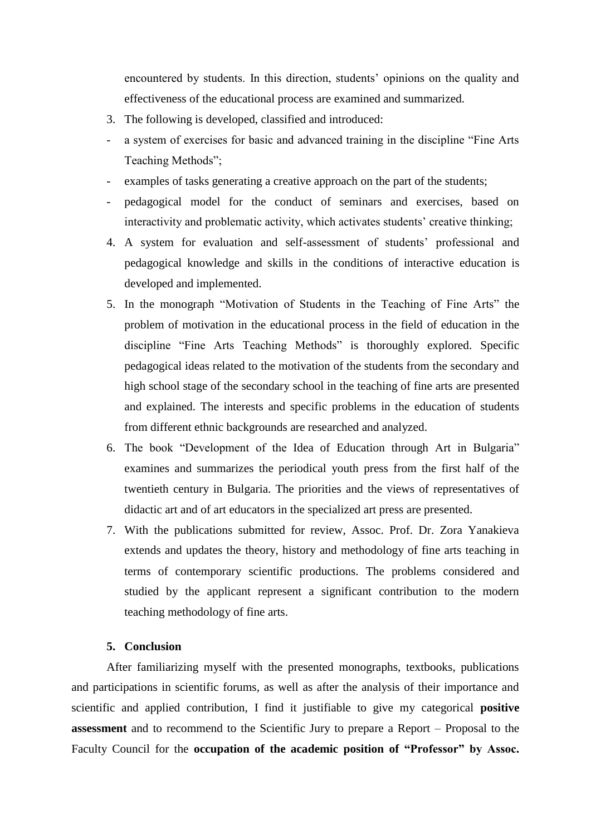encountered by students. In this direction, students' opinions on the quality and effectiveness of the educational process are examined and summarized.

- 3. The following is developed, classified and introduced:
- a system of exercises for basic and advanced training in the discipline "Fine Arts" Teaching Methods";
- examples of tasks generating a creative approach on the part of the students;
- pedagogical model for the conduct of seminars and exercises, based on interactivity and problematic activity, which activates students' creative thinking;
- 4. A system for evaluation and self-assessment of students' professional and pedagogical knowledge and skills in the conditions of interactive education is developed and implemented.
- 5. In the monograph "Motivation of Students in the Teaching of Fine Arts" the problem of motivation in the educational process in the field of education in the discipline "Fine Arts Teaching Methods" is thoroughly explored. Specific pedagogical ideas related to the motivation of the students from the secondary and high school stage of the secondary school in the teaching of fine arts are presented and explained. The interests and specific problems in the education of students from different ethnic backgrounds are researched and analyzed.
- 6. The book "Development of the Idea of Education through Art in Bulgaria" examines and summarizes the periodical youth press from the first half of the twentieth century in Bulgaria. The priorities and the views of representatives of didactic art and of art educators in the specialized art press are presented.
- 7. With the publications submitted for review, Assoc. Prof. Dr. Zora Yanakieva extends and updates the theory, history and methodology of fine arts teaching in terms of contemporary scientific productions. The problems considered and studied by the applicant represent a significant contribution to the modern teaching methodology of fine arts.

# **5. Conclusion**

After familiarizing myself with the presented monographs, textbooks, publications and participations in scientific forums, as well as after the analysis of their importance and scientific and applied contribution, I find it justifiable to give my categorical **positive assessment** and to recommend to the Scientific Jury to prepare a Report – Proposal to the Faculty Council for the **occupation of the academic position of "Professor" by Assoc.**